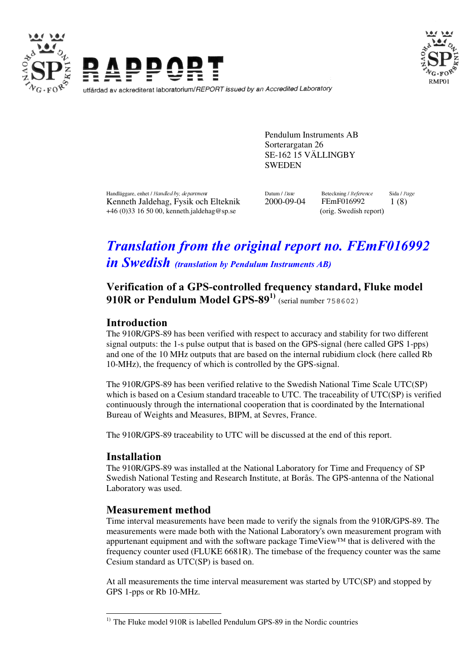



Pendulum Instruments AB Sorterargatan 26 SE-162 15 VÄLLINGBY **SWEDEN** 

+46 (0)33 16 50 00, kenneth.jaldehag@sp.se (orig. Swedish report)

Handläggare, enhet / Handled by, department Datum Datum / Date Beteckning / Reference Sida / Page Kenneth Jaldehag, Fysik och Elteknik 2000-09-04 FEmF016992 1 (8)

# **Translation from the original report no. FEmF016992** in Swedish (translation by Pendulum Instruments AB)

# Verification of a GPS-controlled frequency standard, Fluke model 910R or Pendulum Model GPS-89 $^{1)}$  (serial number 758602)

## **Introduction**

The 910R/GPS-89 has been verified with respect to accuracy and stability for two different signal outputs: the 1-s pulse output that is based on the GPS-signal (here called GPS 1-pps) and one of the 10 MHz outputs that are based on the internal rubidium clock (here called Rb 10-MHz), the frequency of which is controlled by the GPS-signal.

The 910R/GPS-89 has been verified relative to the Swedish National Time Scale UTC(SP) which is based on a Cesium standard traceable to UTC. The traceability of UTC(SP) is verified continuously through the international cooperation that is coordinated by the International Bureau of Weights and Measures, BIPM, at Sevres, France.

The 910R/GPS-89 traceability to UTC will be discussed at the end of this report.

## **Installation**

The 910R/GPS-89 was installed at the National Laboratory for Time and Frequency of SP Swedish National Testing and Research Institute, at Borås. The GPS-antenna of the National Laboratory was used.

## **Measurement method**

Time interval measurements have been made to verify the signals from the 910R/GPS-89. The measurements were made both with the National Laboratory's own measurement program with appurtenant equipment and with the software package TimeView™ that is delivered with the frequency counter used (FLUKE 6681R). The timebase of the frequency counter was the same Cesium standard as UTC(SP) is based on.

At all measurements the time interval measurement was started by UTC(SP) and stopped by GPS 1-pps or Rb 10-MHz.

 $\ddot{\phantom{a}}$  $1)$  The Fluke model 910R is labelled Pendulum GPS-89 in the Nordic countries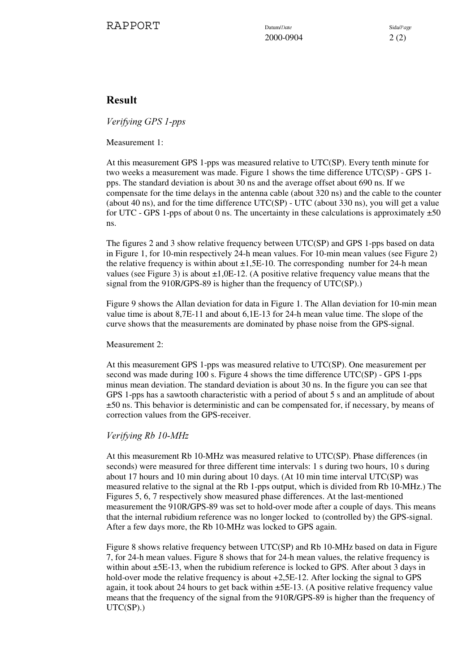2000-0904 2 (2)

## Result

Verifying GPS 1-pps

Measurement 1:

At this measurement GPS 1-pps was measured relative to UTC(SP). Every tenth minute for two weeks a measurement was made. Figure 1 shows the time difference UTC(SP) - GPS 1 pps. The standard deviation is about 30 ns and the average offset about 690 ns. If we compensate for the time delays in the antenna cable (about 320 ns) and the cable to the counter (about 40 ns), and for the time difference UTC(SP) - UTC (about 330 ns), you will get a value for UTC - GPS 1-pps of about 0 ns. The uncertainty in these calculations is approximately  $\pm 50$ ns.

The figures 2 and 3 show relative frequency between UTC(SP) and GPS 1-pps based on data in Figure 1, for 10-min respectively 24-h mean values. For 10-min mean values (see Figure 2) the relative frequency is within about  $\pm 1,5E-10$ . The corresponding number for 24-h mean values (see Figure 3) is about  $\pm 1,0E-12$ . (A positive relative frequency value means that the signal from the 910R/GPS-89 is higher than the frequency of UTC(SP).)

Figure 9 shows the Allan deviation for data in Figure 1. The Allan deviation for 10-min mean value time is about 8,7E-11 and about 6,1E-13 for 24-h mean value time. The slope of the curve shows that the measurements are dominated by phase noise from the GPS-signal.

Measurement 2:

At this measurement GPS 1-pps was measured relative to UTC(SP). One measurement per second was made during 100 s. Figure 4 shows the time difference UTC(SP) - GPS 1-pps minus mean deviation. The standard deviation is about 30 ns. In the figure you can see that GPS 1-pps has a sawtooth characteristic with a period of about 5 s and an amplitude of about ±50 ns. This behavior is deterministic and can be compensated for, if necessary, by means of correction values from the GPS-receiver.

#### Verifying Rb 10-MHz

At this measurement Rb 10-MHz was measured relative to UTC(SP). Phase differences (in seconds) were measured for three different time intervals: 1 s during two hours, 10 s during about 17 hours and 10 min during about 10 days. (At 10 min time interval UTC(SP) was measured relative to the signal at the Rb 1-pps output, which is divided from Rb 10-MHz.) The Figures 5, 6, 7 respectively show measured phase differences. At the last-mentioned measurement the 910R/GPS-89 was set to hold-over mode after a couple of days. This means that the internal rubidium reference was no longer locked to (controlled by) the GPS-signal. After a few days more, the Rb 10-MHz was locked to GPS again.

Figure 8 shows relative frequency between UTC(SP) and Rb 10-MHz based on data in Figure 7, for 24-h mean values. Figure 8 shows that for 24-h mean values, the relative frequency is within about  $\pm$ 5E-13, when the rubidium reference is locked to GPS. After about 3 days in hold-over mode the relative frequency is about  $+2,5E-12$ . After locking the signal to GPS again, it took about 24 hours to get back within ±5E-13. (A positive relative frequency value means that the frequency of the signal from the 910R/GPS-89 is higher than the frequency of UTC(SP).)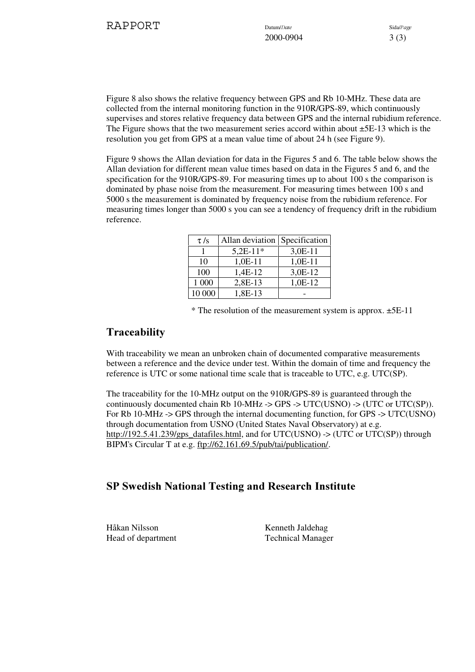2000-0904 3 (3)

Figure 8 also shows the relative frequency between GPS and Rb 10-MHz. These data are collected from the internal monitoring function in the 910R/GPS-89, which continuously supervises and stores relative frequency data between GPS and the internal rubidium reference. The Figure shows that the two measurement series accord within about ±5E-13 which is the resolution you get from GPS at a mean value time of about 24 h (see Figure 9).

Figure 9 shows the Allan deviation for data in the Figures 5 and 6. The table below shows the Allan deviation for different mean value times based on data in the Figures 5 and 6, and the specification for the 910R/GPS-89. For measuring times up to about 100 s the comparison is dominated by phase noise from the measurement. For measuring times between 100 s and 5000 s the measurement is dominated by frequency noise from the rubidium reference. For measuring times longer than 5000 s you can see a tendency of frequency drift in the rubidium reference.

| $\tau$ /s | Allan deviation Specification |           |
|-----------|-------------------------------|-----------|
|           | $5,2E-11*$                    | $3,0E-11$ |
| 10        | $1,0E-11$                     | $1,0E-11$ |
| 100       | 1,4E-12                       | 3,0E-12   |
| 1 000     | 2,8E-13                       | 1,0E-12   |
| 10 000    | 1,8E-13                       |           |

 $*$  The resolution of the measurement system is approx.  $\pm$ 5E-11

## **Traceability**

With traceability we mean an unbroken chain of documented comparative measurements between a reference and the device under test. Within the domain of time and frequency the reference is UTC or some national time scale that is traceable to UTC, e.g. UTC(SP).

The traceability for the 10-MHz output on the 910R/GPS-89 is guaranteed through the continuously documented chain Rb 10-MHz  $\rightarrow$  GPS  $\rightarrow$  UTC(USNO)  $\rightarrow$  (UTC or UTC(SP)). For Rb 10-MHz -> GPS through the internal documenting function, for GPS -> UTC(USNO) through documentation from USNO (United States Naval Observatory) at e.g. http://192.5.41.239/gps\_datafiles.html, and for UTC(USNO) -> (UTC or UTC(SP)) through BIPM's Circular T at e.g. ftp://62.161.69.5/pub/tai/publication/.

## SP Swedish National Testing and Research Institute

Håkan Nilsson Kenneth Jaldehag Head of department Technical Manager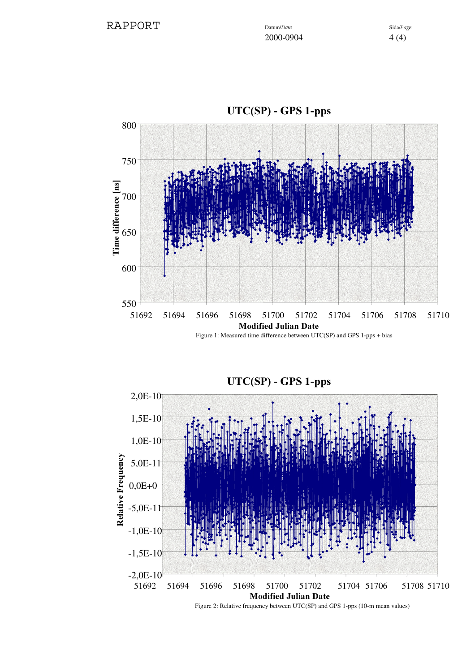

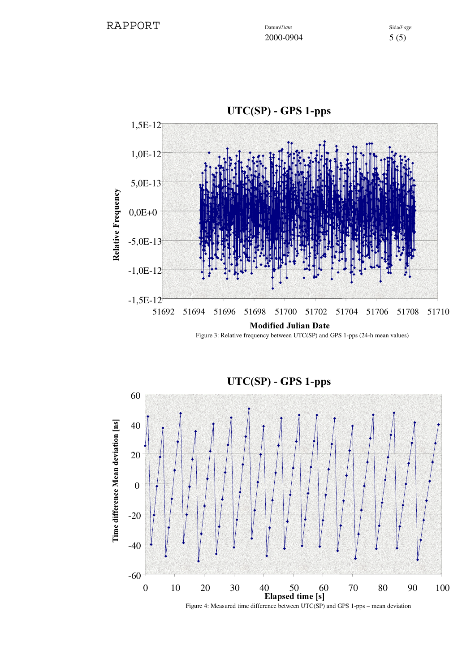

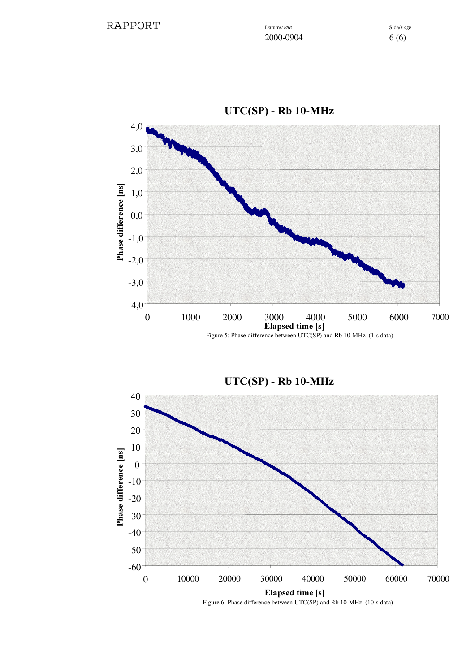

 $UTC(SP) - Rb 10-MHz$ 

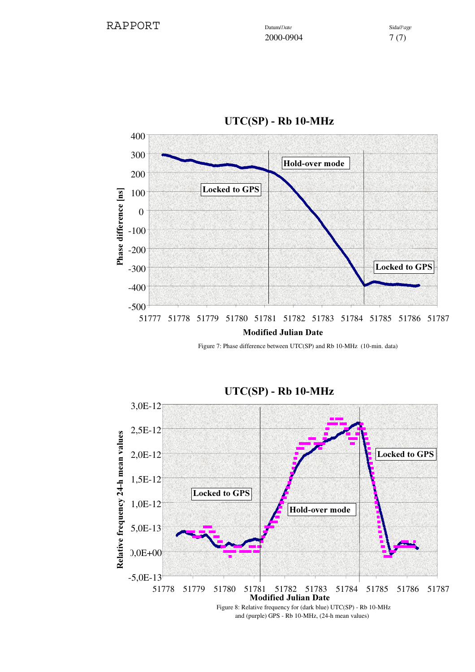

 $UTC(SP) - Rb$  10-MHz

Figure 7: Phase difference between UTC(SP) and Rb 10-MHz (10-min. data)



 $UTC(SP) - Rb 10-MHz$